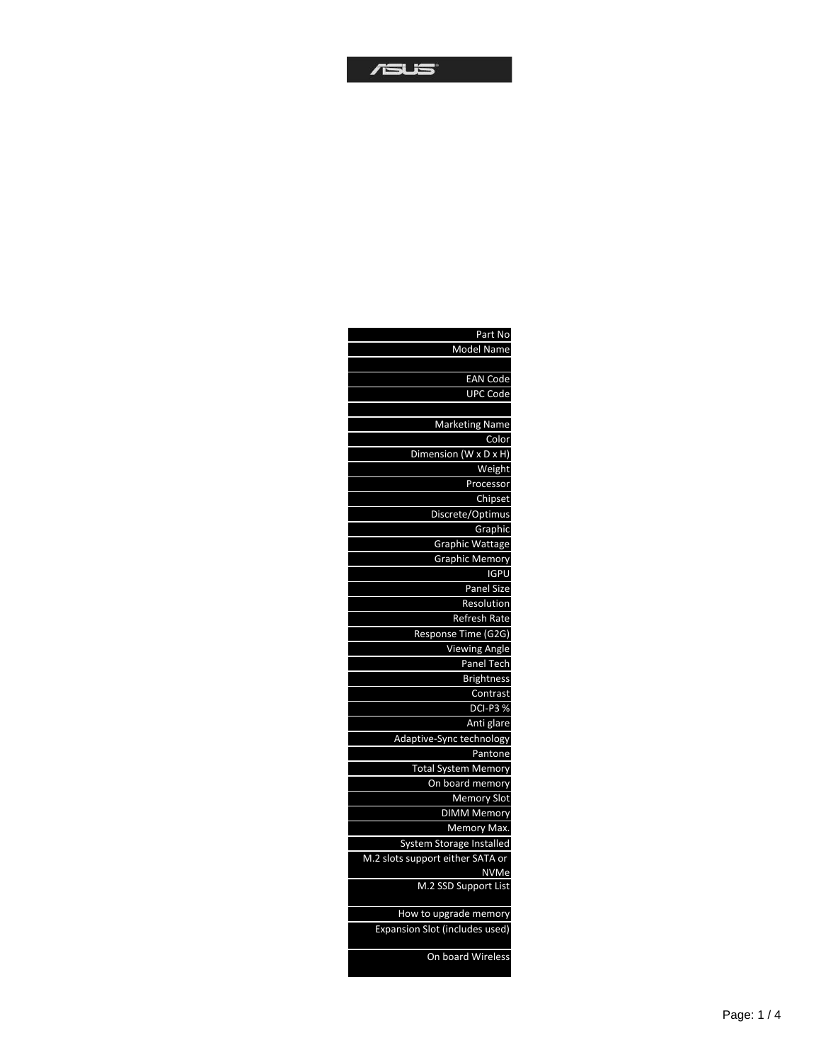## $T$ SUS

| Part No                             |
|-------------------------------------|
| Model Name                          |
|                                     |
| <b>EAN Code</b>                     |
| <b>UPC Code</b>                     |
|                                     |
| <b>Marketing Name</b>               |
| Color                               |
| Dimension (W x D x H)               |
| Weight                              |
| Processor                           |
| Chipset                             |
| Discrete/Optimus                    |
| Graphic                             |
| <b>Graphic Wattage</b>              |
| <b>Graphic Memory</b>               |
| <b>IGPU</b>                         |
| Panel Size                          |
| Resolution                          |
| Refresh Rate                        |
| Response Time (G2G)                 |
| <b>Viewing Angle</b>                |
| Panel Tech                          |
| <b>Brightness</b>                   |
| Contrast                            |
| <b>DCI-P3%</b>                      |
| Anti glare                          |
| Adaptive-Sync technology            |
| Pantone                             |
| <b>Total System Memory</b>          |
| On board memory                     |
| Memory Slot                         |
| <b>DIMM Memory</b>                  |
| Memory Max.                         |
| System Storage Installed            |
| M.2 slots support either SATA or    |
| <b>NVMe</b><br>M.2 SSD Support List |
|                                     |
| How to upgrade memory               |
| Expansion Slot (includes used)      |
| On board Wireless                   |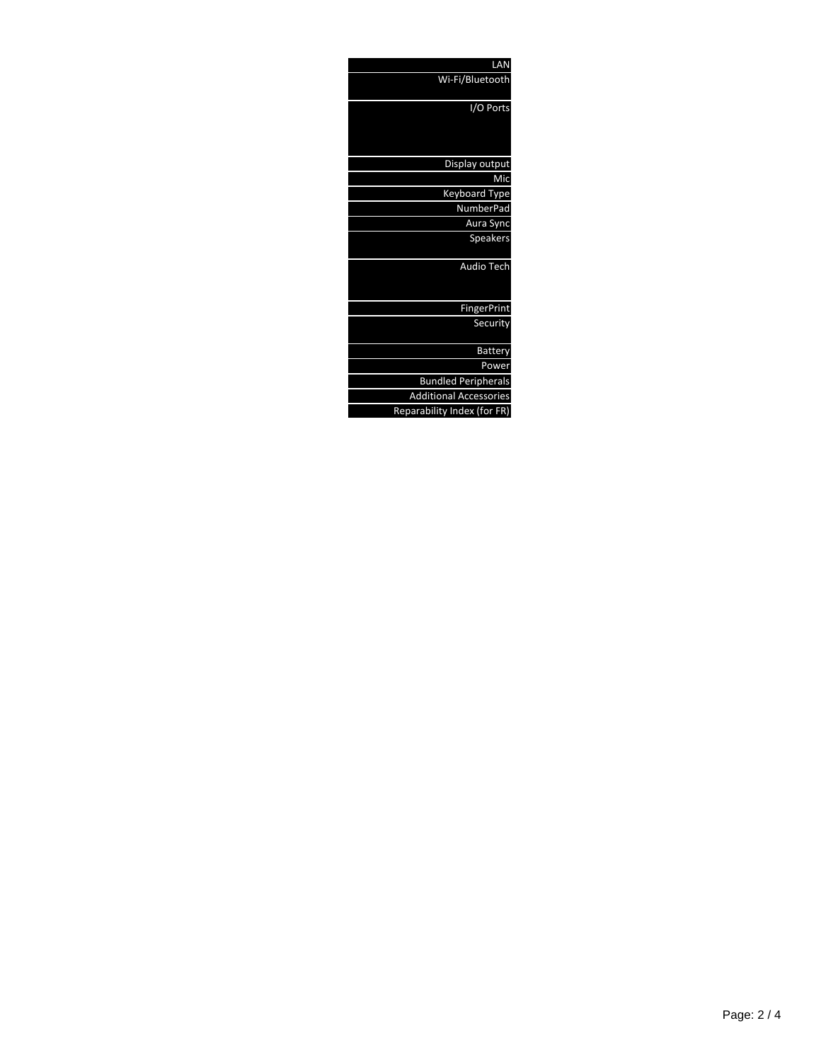| LAN                           |
|-------------------------------|
| Wi-Fi/Bluetooth               |
| I/O Ports                     |
| Display output                |
| Mic                           |
| Keyboard Type                 |
| <b>NumberPad</b>              |
| Aura Sync                     |
| Speakers                      |
| <b>Audio Tech</b>             |
| <b>FingerPrint</b>            |
| Security                      |
| <b>Battery</b>                |
| Power                         |
| <b>Bundled Peripherals</b>    |
| <b>Additional Accessories</b> |
| Reparability Index (for FR)   |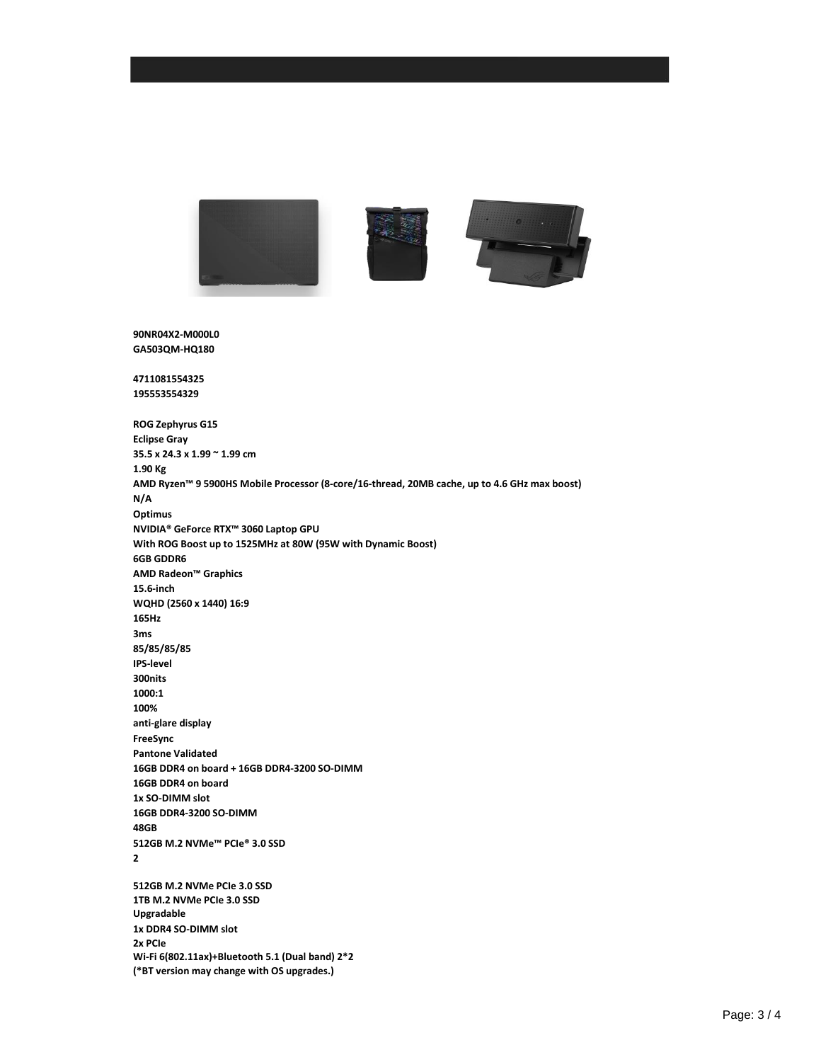

**90NR04X2-M000L0 GA503QM-HQ180**

**4711081554325 195553554329**

**ROG Zephyrus G15 Eclipse Gray 35.5 x 24.3 x 1.99 ~ 1.99 cm 1.90 Kg AMD Ryzen™ 9 5900HS Mobile Processor (8-core/16-thread, 20MB cache, up to 4.6 GHz max boost) N/A Optimus NVIDIA® GeForce RTX™ 3060 Laptop GPU With ROG Boost up to 1525MHz at 80W (95W with Dynamic Boost) 6GB GDDR6 AMD Radeon™ Graphics 15.6-inch WQHD (2560 x 1440) 16:9 165Hz 3ms 85/85/85/85 IPS-level 300nits 1000:1 100% anti-glare display FreeSync Pantone Validated 16GB DDR4 on board + 16GB DDR4-3200 SO-DIMM 16GB DDR4 on board 1x SO-DIMM slot 16GB DDR4-3200 SO-DIMM 48GB 512GB M.2 NVMe™ PCIe® 3.0 SSD 2 512GB M.2 NVMe PCIe 3.0 SSD 1TB M.2 NVMe PCIe 3.0 SSD Upgradable 1x DDR4 SO-DIMM slot 2x PCIe Wi-Fi 6(802.11ax)+Bluetooth 5.1 (Dual band) 2\*2 (\*BT version may change with OS upgrades.)**